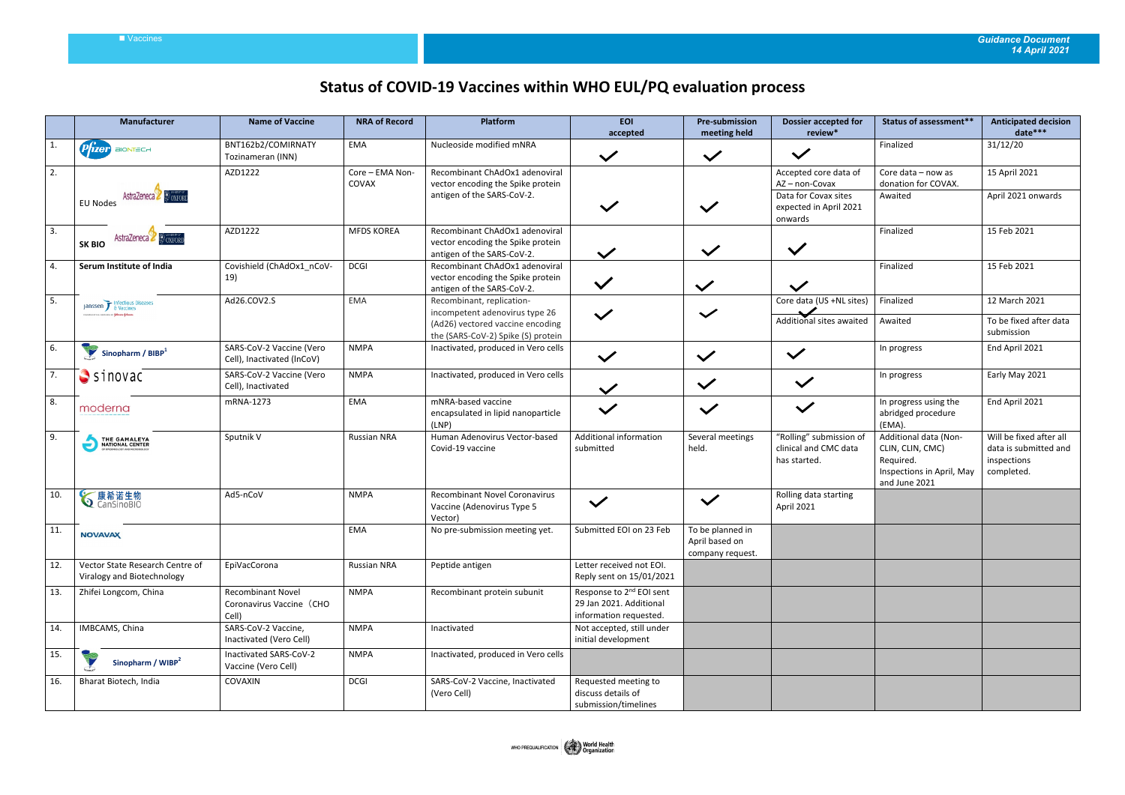## Vaccines *Guidance Document 14 April 2021*

## **Status of COVID-19 Vaccines within WHO EUL/PQ evaluation process**

|              | Manufacturer                                                      | <b>Name of Vaccine</b>                                        | <b>NRA of Record</b>     | Platform                                                                                                                              | <b>EOI</b><br>accepted                                                                    | <b>Pre-submission</b><br>meeting held                  | <b>Dossier accepted for</b><br>review*                                                             | <b>Status of assessment**</b>                                                                        | <b>Anticipated decision</b><br>date***                                        |
|--------------|-------------------------------------------------------------------|---------------------------------------------------------------|--------------------------|---------------------------------------------------------------------------------------------------------------------------------------|-------------------------------------------------------------------------------------------|--------------------------------------------------------|----------------------------------------------------------------------------------------------------|------------------------------------------------------------------------------------------------------|-------------------------------------------------------------------------------|
| $\mathbf{1}$ | <i><b>Pfizer</b></i><br>BIONTECH                                  | BNT162b2/COMIRNATY<br>Tozinameran (INN)                       | EMA                      | Nucleoside modified mNRA                                                                                                              | $\checkmark$                                                                              | $\checkmark$                                           | $\checkmark$                                                                                       | Finalized                                                                                            | 31/12/20                                                                      |
| 2.           | AstraZeneca<br><b>EU Nodes</b>                                    | AZD1222                                                       | Core - EMA Non-<br>COVAX | Recombinant ChAdOx1 adenoviral<br>vector encoding the Spike protein<br>antigen of the SARS-CoV-2.                                     | $\checkmark$                                                                              | $\checkmark$                                           | Accepted core data of<br>AZ-non-Covax<br>Data for Covax sites<br>expected in April 2021<br>onwards | Core data - now as<br>donation for COVAX.<br>Awaited                                                 | 15 April 2021<br>April 2021 onwards                                           |
| 3.           | <b>OXFORD</b><br><b>AstraZeneca</b><br><b>SK BIO</b>              | AZD1222                                                       | <b>MFDS KOREA</b>        | Recombinant ChAdOx1 adenoviral<br>vector encoding the Spike protein<br>antigen of the SARS-CoV-2.                                     | $\checkmark$                                                                              | $\checkmark$                                           | $\checkmark$                                                                                       | Finalized                                                                                            | 15 Feb 2021                                                                   |
| 4.           | Serum Institute of India                                          | Covishield (ChAdOx1_nCoV-<br>19)                              | <b>DCGI</b>              | Recombinant ChAdOx1 adenoviral<br>vector encoding the Spike protein<br>antigen of the SARS-CoV-2.                                     | $\checkmark$                                                                              | $\checkmark$                                           | $\checkmark$                                                                                       | Finalized                                                                                            | 15 Feb 2021                                                                   |
| 5.           | Janssen Finfectious Diseases<br>arrants or <b>fichman-foliare</b> | Ad26.COV2.S                                                   | EMA                      | Recombinant, replication-<br>incompetent adenovirus type 26<br>(Ad26) vectored vaccine encoding<br>the (SARS-CoV-2) Spike (S) protein | $\checkmark$                                                                              | $\checkmark$                                           | Core data (US +NL sites)<br>Additional sites awaited                                               | Finalized<br>Awaited                                                                                 | 12 March 2021<br>To be fixed after data<br>submission                         |
| 6.           | Sinopharm / $BIBP1$                                               | SARS-CoV-2 Vaccine (Vero<br>Cell), Inactivated (InCoV)        | <b>NMPA</b>              | Inactivated, produced in Vero cells                                                                                                   | $\checkmark$                                                                              | $\checkmark$                                           | $\checkmark$                                                                                       | In progress                                                                                          | End April 2021                                                                |
| 7.           | $S$ inovac                                                        | SARS-CoV-2 Vaccine (Vero<br>Cell), Inactivated                | <b>NMPA</b>              | Inactivated, produced in Vero cells                                                                                                   | $\checkmark$                                                                              | $\checkmark$                                           | $\checkmark$                                                                                       | In progress                                                                                          | Early May 2021                                                                |
| 8.           | moderna                                                           | mRNA-1273                                                     | EMA                      | mNRA-based vaccine<br>encapsulated in lipid nanoparticle<br>(LNP)                                                                     | $\checkmark$                                                                              | $\checkmark$                                           | $\checkmark$                                                                                       | In progress using the<br>abridged procedure<br>(EMA).                                                | End April 2021                                                                |
| 9.           | THE GAMALEYA<br>NATIONAL CENTER                                   | Sputnik V                                                     | Russian NRA              | Human Adenovirus Vector-based<br>Covid-19 vaccine                                                                                     | Additional information<br>submitted                                                       | Several meetings<br>held.                              | "Rolling" submission of<br>clinical and CMC data<br>has started.                                   | Additional data (Non-<br>CLIN, CLIN, CMC)<br>Required.<br>Inspections in April, May<br>and June 2021 | Will be fixed after all<br>data is submitted and<br>inspections<br>completed. |
| 10.          | <b>◇</b> 康希诺生物                                                    | Ad5-nCoV                                                      | <b>NMPA</b>              | <b>Recombinant Novel Coronavirus</b><br>Vaccine (Adenovirus Type 5<br>Vector)                                                         | $\checkmark$                                                                              | $\checkmark$                                           | Rolling data starting<br>April 2021                                                                |                                                                                                      |                                                                               |
| 11.          | <b>NOVAVAX</b>                                                    |                                                               | EMA                      | No pre-submission meeting yet.                                                                                                        | Submitted EOI on 23 Feb                                                                   | To be planned in<br>April based on<br>company request. |                                                                                                    |                                                                                                      |                                                                               |
| 12.          | Vector State Research Centre of<br>Viralogy and Biotechnology     | EpiVacCorona                                                  | Russian NRA              | Peptide antigen                                                                                                                       | Letter received not EOI.<br>Reply sent on 15/01/2021                                      |                                                        |                                                                                                    |                                                                                                      |                                                                               |
| 13.          | Zhifei Longcom, China                                             | <b>Recombinant Novel</b><br>Coronavirus Vaccine (CHO<br>Cell) | <b>NMPA</b>              | Recombinant protein subunit                                                                                                           | Response to 2 <sup>nd</sup> EOI sent<br>29 Jan 2021. Additional<br>information requested. |                                                        |                                                                                                    |                                                                                                      |                                                                               |
| 14.          | IMBCAMS, China                                                    | SARS-CoV-2 Vaccine,<br>Inactivated (Vero Cell)                | <b>NMPA</b>              | Inactivated                                                                                                                           | Not accepted, still under<br>initial development                                          |                                                        |                                                                                                    |                                                                                                      |                                                                               |
| 15.          | P<br>Sinopharm / WIBP <sup>2</sup>                                | Inactivated SARS-CoV-2<br>Vaccine (Vero Cell)                 | <b>NMPA</b>              | Inactivated, produced in Vero cells                                                                                                   |                                                                                           |                                                        |                                                                                                    |                                                                                                      |                                                                               |
| 16.          | Bharat Biotech, India                                             | COVAXIN                                                       | <b>DCGI</b>              | SARS-CoV-2 Vaccine, Inactivated<br>(Vero Cell)                                                                                        | Requested meeting to<br>discuss details of<br>submission/timelines                        |                                                        |                                                                                                    |                                                                                                      |                                                                               |